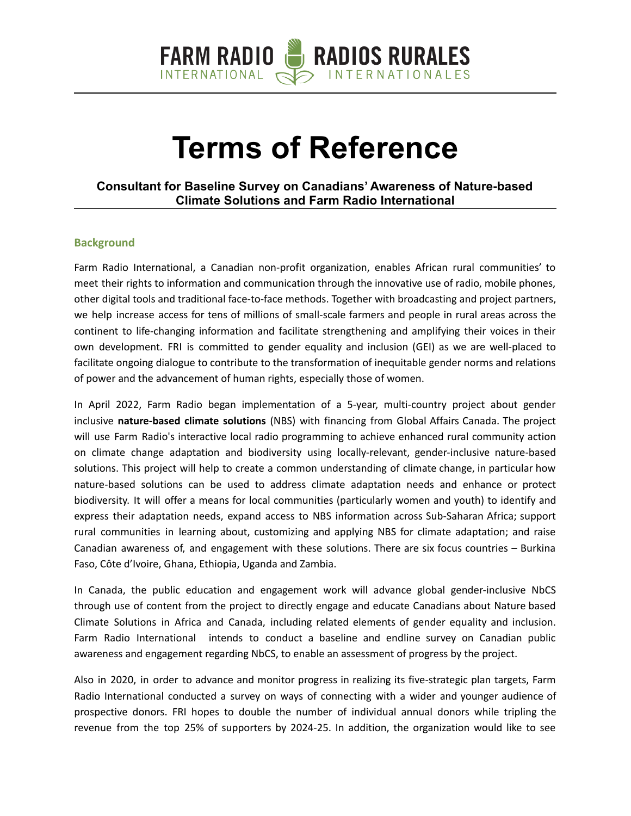

# **Terms of Reference**

## **Consultant for Baseline Survey on Canadians' Awareness of Nature-based Climate Solutions and Farm Radio International**

#### **Background**

Farm Radio International, a Canadian non-profit organization, enables African rural communities' to meet their rights to information and communication through the innovative use of radio, mobile phones, other digital tools and traditional face-to-face methods. Together with broadcasting and project partners, we help increase access for tens of millions of small-scale farmers and people in rural areas across the continent to life-changing information and facilitate strengthening and amplifying their voices in their own development. FRI is committed to gender equality and inclusion (GEI) as we are well-placed to facilitate ongoing dialogue to contribute to the transformation of inequitable gender norms and relations of power and the advancement of human rights, especially those of women.

In April 2022, Farm Radio began implementation of a 5-year, multi-country project about gender inclusive **nature-based climate solutions** (NBS) with financing from Global Affairs Canada. The project will use Farm Radio's interactive local radio programming to achieve enhanced rural community action on climate change adaptation and biodiversity using locally-relevant, gender-inclusive nature-based solutions. This project will help to create a common understanding of climate change, in particular how nature-based solutions can be used to address climate adaptation needs and enhance or protect biodiversity. It will offer a means for local communities (particularly women and youth) to identify and express their adaptation needs, expand access to NBS information across Sub-Saharan Africa; support rural communities in learning about, customizing and applying NBS for climate adaptation; and raise Canadian awareness of, and engagement with these solutions. There are six focus countries – Burkina Faso, Côte d'Ivoire, Ghana, Ethiopia, Uganda and Zambia.

In Canada, the public education and engagement work will advance global gender-inclusive NbCS through use of content from the project to directly engage and educate Canadians about Nature based Climate Solutions in Africa and Canada, including related elements of gender equality and inclusion. Farm Radio International intends to conduct a baseline and endline survey on Canadian public awareness and engagement regarding NbCS, to enable an assessment of progress by the project.

Also in 2020, in order to advance and monitor progress in realizing its five-strategic plan targets, Farm Radio International conducted a survey on ways of connecting with a wider and younger audience of prospective donors. FRI hopes to double the number of individual annual donors while tripling the revenue from the top 25% of supporters by 2024-25. In addition, the organization would like to see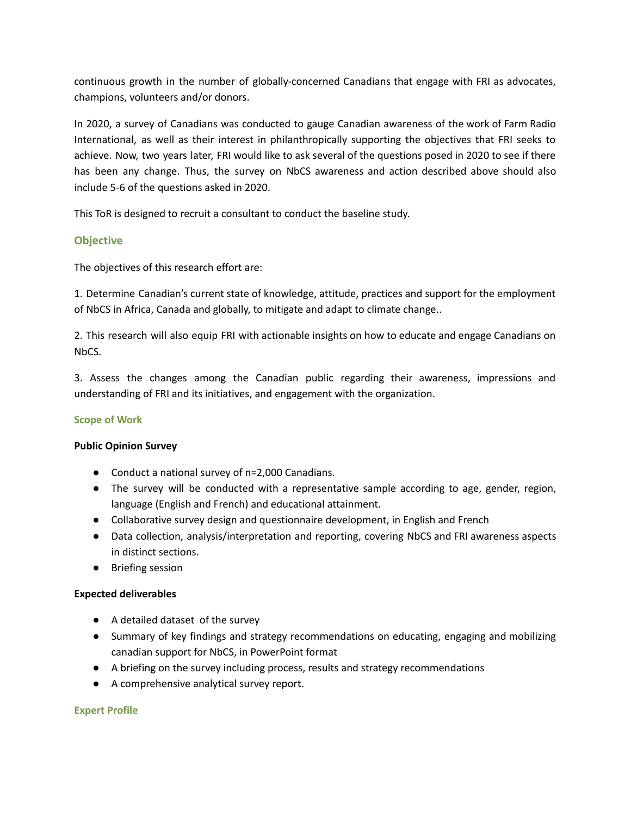continuous growth in the number of globally-concerned Canadians that engage with FRI as advocates, champions, volunteers and/or donors.

In 2020, a survey of Canadians was conducted to gauge Canadian awareness of the work of Farm Radio International, as well as their interest in philanthropically supporting the objectives that FRI seeks to achieve. Now, two years later, FRI would like to ask several of the questions posed in 2020 to see if there has been any change. Thus, the survey on NbCS awareness and action described above should also include 5-6 of the questions asked in 2020.

This ToR is designed to recruit a consultant to conduct the baseline study.

## **Objective**

The objectives of this research effort are:

1. Determine Canadian's current state of knowledge, attitude, practices and support for the employment of NbCS in Africa, Canada and globally, to mitigate and adapt to climate change..

2. This research will also equip FRI with actionable insights on how to educate and engage Canadians on NbCS.

3. Assess the changes among the Canadian public regarding their awareness, impressions and understanding of FRI and its initiatives, and engagement with the organization.

#### **Scope of Work**

#### **Public Opinion Survey**

- Conduct a national survey of n=2,000 Canadians.
- The survey will be conducted with a representative sample according to age, gender, region, language (English and French) and educational attainment.
- Collaborative survey design and questionnaire development, in English and French
- Data collection, analysis/interpretation and reporting, covering NbCS and FRI awareness aspects in distinct sections.
- Briefing session

#### **Expected deliverables**

- A detailed dataset of the survey
- Summary of key findings and strategy recommendations on educating, engaging and mobilizing canadian support for NbCS, in PowerPoint format
- A briefing on the survey including process, results and strategy recommendations
- A comprehensive analytical survey report.

#### **Expert Profile**